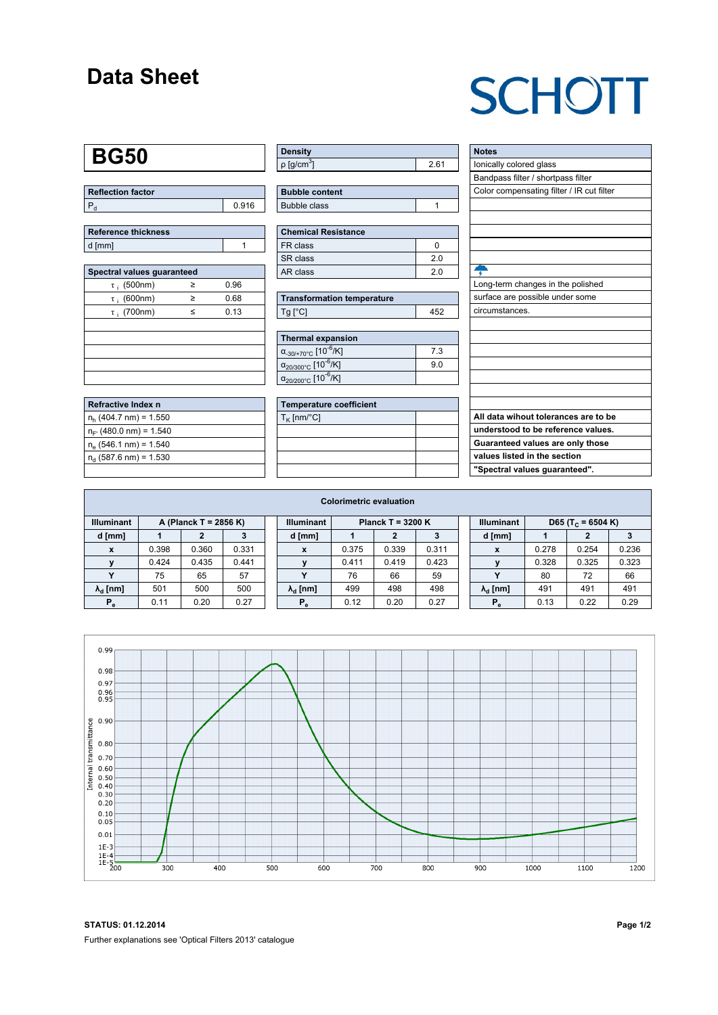### **Data Sheet**

## **SCHOTT**

#### **BG50**

| Reflection factor |       |
|-------------------|-------|
| l P               | 0.916 |

| Reference thickness |  |
|---------------------|--|
| d [mm]              |  |

| Spectral values guaranteed |   |      |  |  |  |  |  |  |  |
|----------------------------|---|------|--|--|--|--|--|--|--|
| $\tau$ ; (500nm)           | ≥ | 0.96 |  |  |  |  |  |  |  |
| $\tau$ ; (600nm)           | ≥ | 0.68 |  |  |  |  |  |  |  |
| $\tau$ ; (700nm)           | < | 0.13 |  |  |  |  |  |  |  |
|                            |   |      |  |  |  |  |  |  |  |
|                            |   |      |  |  |  |  |  |  |  |
|                            |   |      |  |  |  |  |  |  |  |
|                            |   |      |  |  |  |  |  |  |  |
|                            |   |      |  |  |  |  |  |  |  |

| Refractive Index n         |  |
|----------------------------|--|
| $n_h$ (404.7 nm) = 1.550   |  |
| $n_{F}$ (480.0 nm) = 1.540 |  |
| $n_e$ (546.1 nm) = 1.540   |  |
| $n_d$ (587.6 nm) = 1.530   |  |
|                            |  |

| <b>Density</b>              |    |
|-----------------------------|----|
| $\rho$ [g/cm <sup>3</sup> ] | 61 |

| <b>Bubble content</b> |  |
|-----------------------|--|
| Bubble class          |  |

| <b>Chemical Resistance</b> |    |  |  |  |  |  |
|----------------------------|----|--|--|--|--|--|
| FR class                   |    |  |  |  |  |  |
| SR class                   | 20 |  |  |  |  |  |
| AR class                   | 20 |  |  |  |  |  |

| <b>Transformation temperature</b> |     |  |  |  |  |
|-----------------------------------|-----|--|--|--|--|
| $Tq$ $C$                          | 452 |  |  |  |  |

| Thermal expansion                                 |     |  |  |  |  |  |  |  |
|---------------------------------------------------|-----|--|--|--|--|--|--|--|
| $\alpha_{.30/+70\degree}$ c [10 <sup>-6</sup> /K] | 7.3 |  |  |  |  |  |  |  |
| $\alpha_{20/300^{\circ}C}$ [10 <sup>-6</sup> /K]  | 9.0 |  |  |  |  |  |  |  |
| $\alpha_{20/200^{\circ}C}$ [10 <sup>-6</sup> /K]  |     |  |  |  |  |  |  |  |

| <b>Temperature coefficient</b> |  |  |  |  |  |  |  |
|--------------------------------|--|--|--|--|--|--|--|
| $T_K$ [nm/°C]                  |  |  |  |  |  |  |  |
|                                |  |  |  |  |  |  |  |
|                                |  |  |  |  |  |  |  |
|                                |  |  |  |  |  |  |  |
|                                |  |  |  |  |  |  |  |

| <b>Notes</b>                              |
|-------------------------------------------|
| lonically colored glass                   |
| Bandpass filter / shortpass filter        |
| Color compensating filter / IR cut filter |
|                                           |
|                                           |
|                                           |
|                                           |
|                                           |
|                                           |
| Long-term changes in the polished         |
| surface are possible under some           |
| circumstances.                            |
|                                           |
|                                           |
|                                           |
|                                           |
|                                           |
|                                           |
|                                           |
| All data wihout tolerances are to be      |
| understood to be reference values.        |
| Guaranteed values are only those          |
| values listed in the section              |
| "Spectral values quaranteed".             |

| <b>Colorimetric evaluation</b>             |       |       |       |                                          |                        |       |       |       |                                                    |                        |       |       |       |
|--------------------------------------------|-------|-------|-------|------------------------------------------|------------------------|-------|-------|-------|----------------------------------------------------|------------------------|-------|-------|-------|
| <b>Illuminant</b><br>A (Planck T = 2856 K) |       |       |       | <b>Illuminant</b><br>Planck T = $3200 K$ |                        |       |       |       | <b>Illuminant</b><br>D65 (T <sub>c</sub> = 6504 K) |                        |       |       |       |
| d [mm]                                     |       |       |       |                                          | d [mm]                 |       |       | 3     |                                                    | d [mm]                 |       | 2     |       |
|                                            | 0.398 | 0.360 | 0.331 |                                          | X                      | 0.375 | 0.339 | 0.311 |                                                    | X                      | 0.278 | 0.254 | 0.236 |
|                                            | 0.424 | 0.435 | 0.441 |                                          |                        | 0.411 | 0.419 | 0.423 |                                                    |                        | 0.328 | 0.325 | 0.323 |
|                                            | 75    | 65    | 57    |                                          | v                      | 76    | 66    | 59    |                                                    | $\checkmark$           | 80    | 72    | 66    |
| $\lambda_{\rm d}$ [nm]                     | 501   | 500   | 500   |                                          | $\lambda_{\rm d}$ [nm] | 499   | 498   | 498   |                                                    | $\lambda_{\rm d}$ [nm] | 491   | 491   | 491   |
| $P_e$                                      | 0.11  | 0.20  | 0.27  |                                          | $P_{\alpha}$           | 0.12  | 0.20  | 0.27  |                                                    | $P_{\alpha}$           | 0.13  | 0.22  | 0.29  |
|                                            |       |       |       |                                          |                        |       |       |       |                                                    |                        |       |       |       |



**STATUS: 01.12.2014 Page 1/2** Further explanations see 'Optical Filters 2013' catalogue